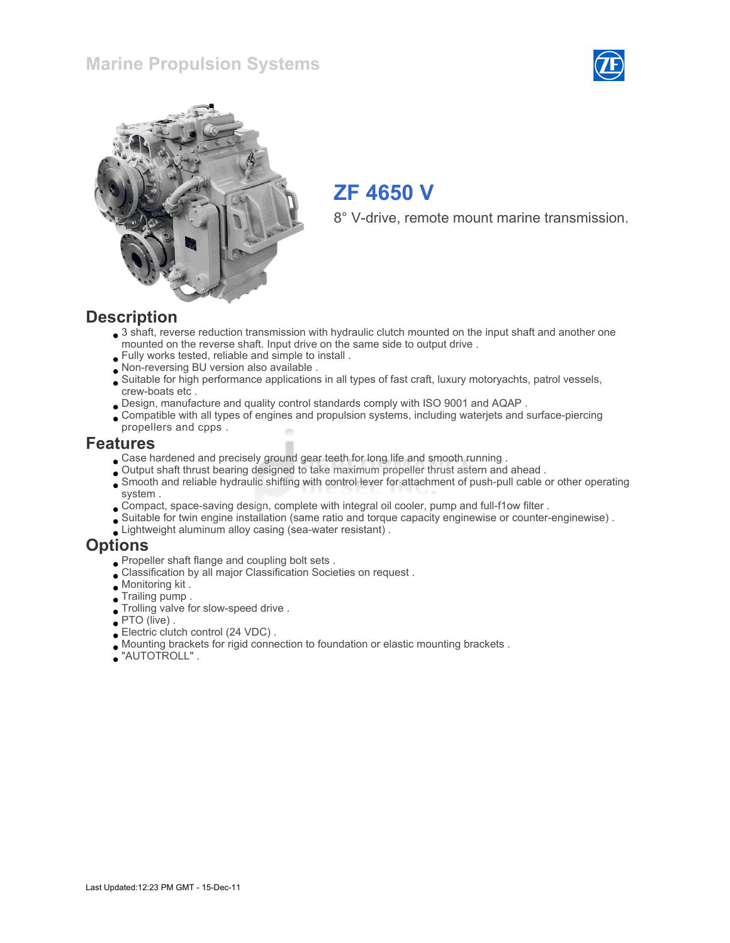### Marine Propulsion Systems





# ZF 4650 V

8° V-drive, remote mount marine transmission.

#### **Description**

- 3 shaft, reverse reduction transmission with hydraulic clutch mounted on the input shaft and another one mounted on the reverse shaft. Input drive on the same side to output drive .
- Fully works tested, reliable and simple to install .
- Non-reversing BU version also available .
- Suitable for high performance applications in all types of fast craft, luxury motoryachts, patrol vessels, crew-boats etc .
- Design, manufacture and quality control standards comply with ISO 9001 and AQAP .
- Compatible with all types of engines and propulsion systems, including waterjets and surface-piercing propellers and cpps .

#### Features

- Case hardened and precisely ground gear teeth for long life and smooth running .
- Output shaft thrust bearing designed to take maximum propeller thrust astern and ahead .
- Smooth and reliable hydraulic shifting with control lever for attachment of push-pull cable or other operating system .
- Compact, space-saving design, complete with integral oil cooler, pump and full-f1ow filter .
- Suitable for twin engine installation (same ratio and torque capacity enginewise or counter-enginewise) .
- Lightweight aluminum alloy casing (sea-water resistant) .

#### **Options**

- Propeller shaft flange and coupling bolt sets .
- Classification by all major Classification Societies on request .
- Monitoring kit .
- Trailing pump .
- Trolling valve for slow-speed drive .
- PTO (live) .
- Electric clutch control (24 VDC) .
- Mounting brackets for rigid connection to foundation or elastic mounting brackets .
- "AUTOTROLL" .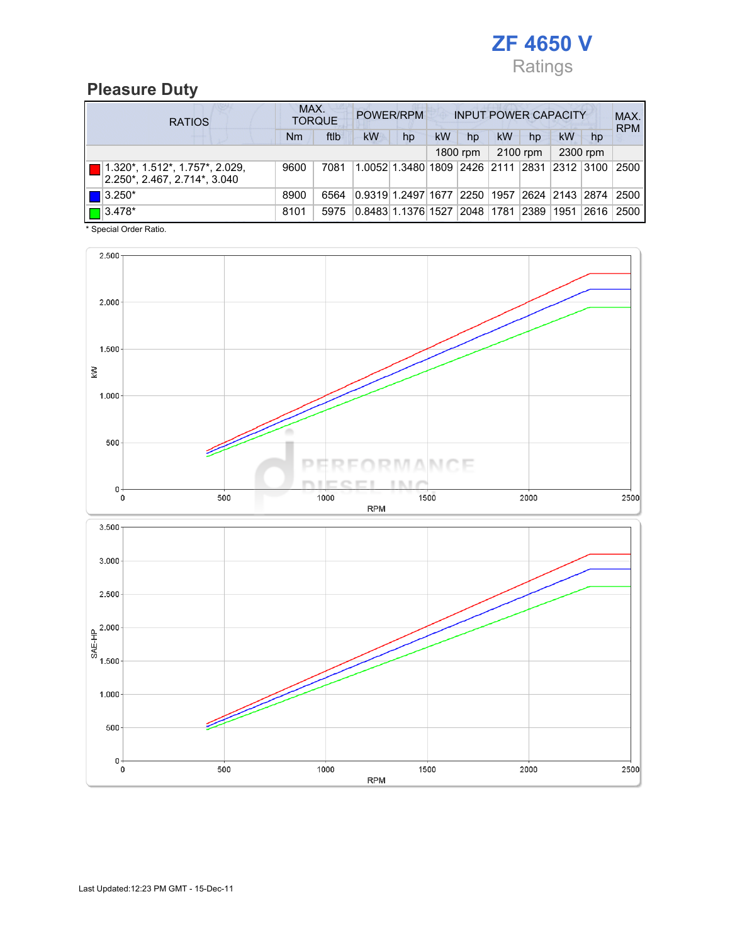

# Pleasure Duty

| <b>RATIOS</b>                                                               | MAX.<br>POWER/RPM<br><b>INPUT POWER CAPACITY</b><br><b>TORQUE</b> |      |                    |                                                  |           |             |    |          |                                  |          | MAX.<br><b>RPM</b> |
|-----------------------------------------------------------------------------|-------------------------------------------------------------------|------|--------------------|--------------------------------------------------|-----------|-------------|----|----------|----------------------------------|----------|--------------------|
|                                                                             | Nm                                                                | ftlb | kW                 | hp                                               | <b>kW</b> | hp          | kW | hp       | kW                               | hp       |                    |
|                                                                             |                                                                   |      |                    |                                                  |           | 1800 rpm    |    | 2100 rpm |                                  | 2300 rpm |                    |
| $\boxed{ }$ (1.320*, 1.512*, 1.757*, 2.029,<br>2.250*, 2.467, 2.714*, 3.040 | 9600                                                              | 7081 |                    | 1.0052 1.3480 1809 2426 2111 2831 2312 3100 2500 |           |             |    |          |                                  |          |                    |
| $  $ $  $ 3.250*                                                            | 8900                                                              | 6564 | 0.9319 1.2497 1677 |                                                  |           |             |    |          | 2250   1957   2624   2143   2874 |          | 2500               |
| $\boxed{\Box}$ 3.478*                                                       | 8101                                                              | 5975 | 0.8483 1.1376 1527 |                                                  |           | 2048   1781 |    | 2389     | 1951                             | 2616     | 2500               |

\* Special Order Ratio.

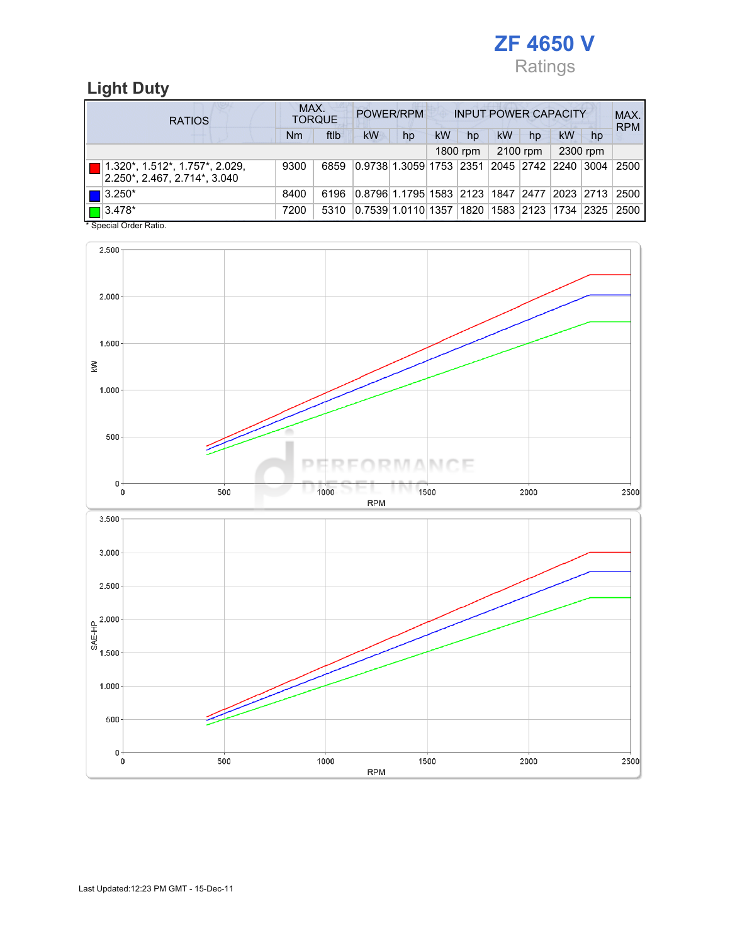

# Light Duty

| <b>RATIOS</b> |                                                                                               | MAX.<br>POWER/RPM<br><b>INPUT POWER CAPACITY</b><br><b>TORQUE</b> |      |                                                         |    |           |          |           |          |           |          | MAX.<br><b>RPM</b> |
|---------------|-----------------------------------------------------------------------------------------------|-------------------------------------------------------------------|------|---------------------------------------------------------|----|-----------|----------|-----------|----------|-----------|----------|--------------------|
|               |                                                                                               | Nm                                                                | ftlb | kW                                                      | hp | <b>kW</b> | hp       | <b>kW</b> | hp       | <b>kW</b> | hp       |                    |
|               |                                                                                               |                                                                   |      |                                                         |    |           | 1800 rpm |           | 2100 rpm |           | 2300 rpm |                    |
|               | $ 1.320^*$ , 1.512 <sup>*</sup> , 1.757 <sup>*</sup> , 2.029,<br>2.250*, 2.467, 2.714*, 3.040 | 9300                                                              | 6859 | 0.9738 1.3059 1753  2351  2045  2742  2240  3004        |    |           |          |           |          |           |          | 2500               |
|               | $\blacksquare$ 3.250*                                                                         | 8400                                                              | 6196 | 0.8796 1.1795 1583  2123  1847  2477  2023  2713   2500 |    |           |          |           |          |           |          |                    |
|               | $\Box$ 3.478*                                                                                 | 7200                                                              | 5310 | 0.7539 1.0110 1357  1820  1583  2123  1734  2325        |    |           |          |           |          |           |          | 2500               |

\* Special Order Ratio.

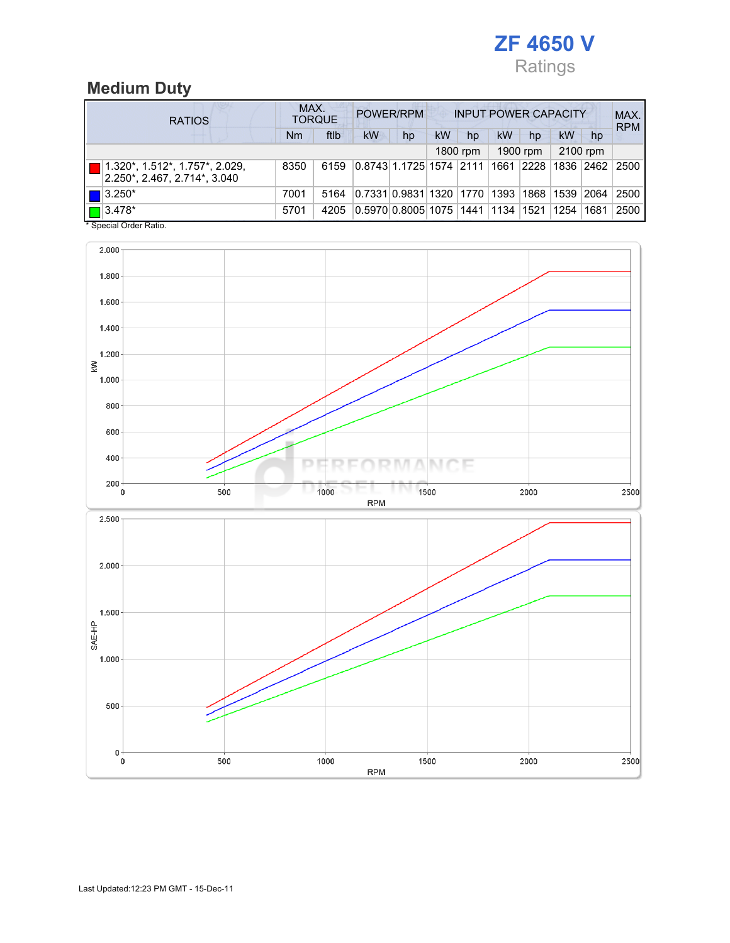

# Medium Duty

| <b>RATIOS</b>         |                                                                                 | MAX.<br>POWER/RPM<br><b>INPUT POWER CAPACITY</b><br><b>TORQUE</b> |      |                                            |    |    |          |    |          |           |          | MAX.<br><b>RPM</b> |
|-----------------------|---------------------------------------------------------------------------------|-------------------------------------------------------------------|------|--------------------------------------------|----|----|----------|----|----------|-----------|----------|--------------------|
|                       |                                                                                 | Nm                                                                | ftlb | kW                                         | hp | kW | hp       | kW | hp       | kW        | hp       |                    |
|                       |                                                                                 |                                                                   |      |                                            |    |    | 1800 rpm |    | 1900 rpm |           | 2100 rpm |                    |
|                       | $\blacksquare$   1.320*, 1.512*, 1.757*, 2.029,<br>2.250*, 2.467, 2.714*, 3.040 | 8350                                                              | 6159 | 0.8743 1.1725 1574  2111  1661  2228       |    |    |          |    |          | 1836 2462 |          | 2500               |
| $\blacksquare$ 3.250* |                                                                                 | 7001                                                              | 5164 | 0.7331 0.9831 1320  1770  1393  1868  1539 |    |    |          |    |          |           | 2064     | 2500               |
| $\boxed{\Box}$ 3.478* |                                                                                 | 5701                                                              | 4205 | 0.5970 0.8005 1075  1441  1134  1521       |    |    |          |    |          | 1254      | 1681     | 2500               |

\* Special Order Ratio.

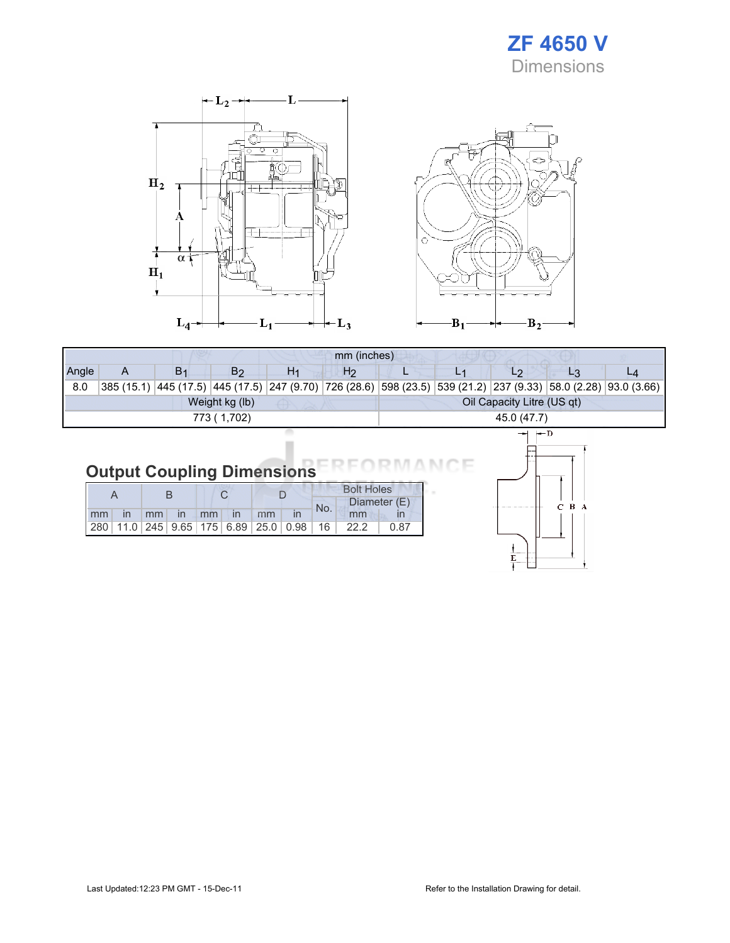



|       |              |                |                |    | mm (inches)                |  |             |  |                                                                                                                 |  |  |  |  |
|-------|--------------|----------------|----------------|----|----------------------------|--|-------------|--|-----------------------------------------------------------------------------------------------------------------|--|--|--|--|
| Angle | А            | B <sub>1</sub> | B <sub>2</sub> | H1 | H <sub>2</sub>             |  |             |  |                                                                                                                 |  |  |  |  |
| 8.0   |              |                |                |    |                            |  |             |  | 385 (15.1) 445 (17.5) 445 (17.5) 247 (9.70) 726 (28.6) 598 (23.5) 539 (21.2) 237 (9.33) 58.0 (2.28) 93.0 (3.66) |  |  |  |  |
|       |              |                | Weight kg (lb) |    | Oil Capacity Litre (US qt) |  |             |  |                                                                                                                 |  |  |  |  |
|       | 773 ( 1,702) |                |                |    |                            |  | 45.0 (47.7) |  |                                                                                                                 |  |  |  |  |
|       |              |                |                |    |                            |  |             |  |                                                                                                                 |  |  |  |  |

# Output Coupling Dimensions

|  |  |  |  |                      |  | <b>Bolt Holes</b> |                                                                |              |  |
|--|--|--|--|----------------------|--|-------------------|----------------------------------------------------------------|--------------|--|
|  |  |  |  |                      |  | No.               |                                                                | Diameter (E) |  |
|  |  |  |  | mm in mm in mm in mm |  |                   | mm                                                             |              |  |
|  |  |  |  |                      |  |                   | 280   11.0   245   9.65   175   6.89   25.0   0.98   16   22.2 | 0.87         |  |